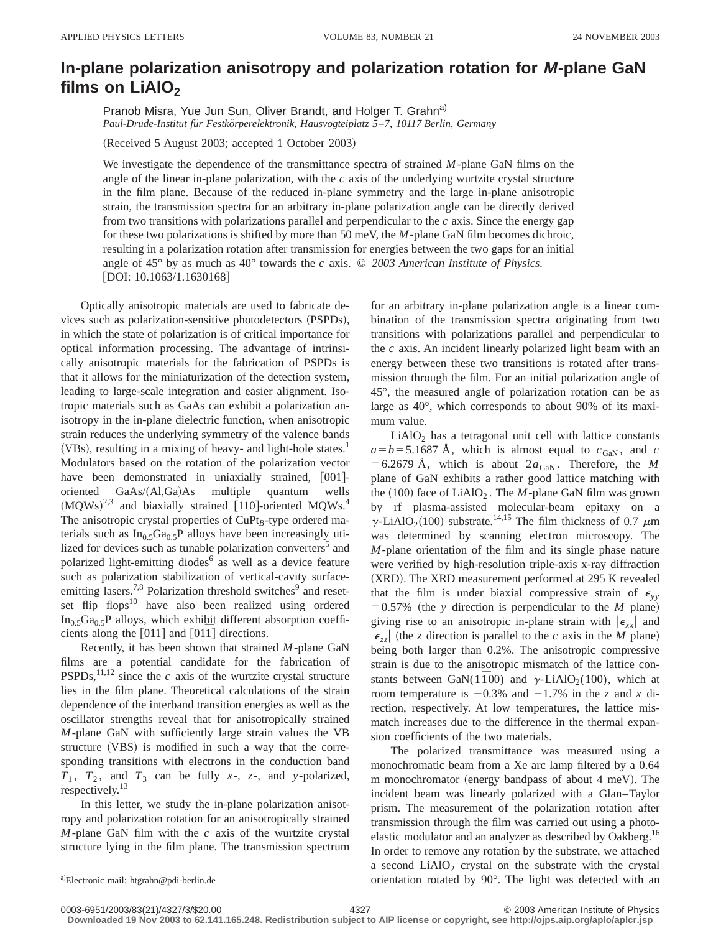## **In-plane polarization anisotropy and polarization rotation for M-plane GaN** films on LiAlO<sub>2</sub>

Pranob Misra, Yue Jun Sun, Oliver Brandt, and Holger T. Grahn<sup>a)</sup> *Paul-Drude-Institut fu¨r Festko¨rperelektronik, Hausvogteiplatz 5*–*7, 10117 Berlin, Germany*

(Received 5 August 2003; accepted 1 October 2003)

We investigate the dependence of the transmittance spectra of strained *M*-plane GaN films on the angle of the linear in-plane polarization, with the *c* axis of the underlying wurtzite crystal structure in the film plane. Because of the reduced in-plane symmetry and the large in-plane anisotropic strain, the transmission spectra for an arbitrary in-plane polarization angle can be directly derived from two transitions with polarizations parallel and perpendicular to the  $c$  axis. Since the energy gap for these two polarizations is shifted by more than 50 meV, the *M*-plane GaN film becomes dichroic, resulting in a polarization rotation after transmission for energies between the two gaps for an initial angle of 45° by as much as 40° towards the *c* axis. © *2003 American Institute of Physics.*  $[DOI: 10.1063/1.1630168]$ 

Optically anisotropic materials are used to fabricate devices such as polarization-sensitive photodetectors (PSPDs), in which the state of polarization is of critical importance for optical information processing. The advantage of intrinsically anisotropic materials for the fabrication of PSPDs is that it allows for the miniaturization of the detection system, leading to large-scale integration and easier alignment. Isotropic materials such as GaAs can exhibit a polarization anisotropy in the in-plane dielectric function, when anisotropic strain reduces the underlying symmetry of the valence bands  $(VBs)$ , resulting in a mixing of heavy- and light-hole states.<sup>1</sup> Modulators based on the rotation of the polarization vector have been demonstrated in uniaxially strained,  $[001]$ oriented GaAs/(Al,Ga)As multiple quantum wells  $(MQWs)^{2,3}$  and biaxially strained [110]-oriented MQWs.<sup>4</sup> The anisotropic crystal properties of CuPt<sub>B</sub>-type ordered materials such as  $In<sub>0.5</sub>Ga<sub>0.5</sub>P$  alloys have been increasingly utilized for devices such as tunable polarization converters<sup>5</sup> and polarized light-emitting diodes $<sup>6</sup>$  as well as a device feature</sup> such as polarization stabilization of vertical-cavity surfaceemitting lasers.<sup>7,8</sup> Polarization threshold switches $\degree$  and resetset flip flops $10$  have also been realized using ordered  $In<sub>0.5</sub>Ga<sub>0.5</sub>P$  alloys, which exhibit different absorption coefficients along the  $[011]$  and  $[011]$  directions.

Recently, it has been shown that strained *M*-plane GaN films are a potential candidate for the fabrication of  $PSPDs$ ,<sup>11,12</sup> since the *c* axis of the wurtzite crystal structure lies in the film plane. Theoretical calculations of the strain dependence of the interband transition energies as well as the oscillator strengths reveal that for anisotropically strained *M*-plane GaN with sufficiently large strain values the VB structure (VBS) is modified in such a way that the corresponding transitions with electrons in the conduction band  $T_1$ ,  $T_2$ , and  $T_3$  can be fully  $x$ -,  $z$ -, and *y*-polarized, respectively.13

In this letter, we study the in-plane polarization anisotropy and polarization rotation for an anisotropically strained *M*-plane GaN film with the *c* axis of the wurtzite crystal structure lying in the film plane. The transmission spectrum for an arbitrary in-plane polarization angle is a linear combination of the transmission spectra originating from two transitions with polarizations parallel and perpendicular to the *c* axis. An incident linearly polarized light beam with an energy between these two transitions is rotated after transmission through the film. For an initial polarization angle of 45°, the measured angle of polarization rotation can be as large as 40°, which corresponds to about 90% of its maximum value.

 $LiAlO<sub>2</sub>$  has a tetragonal unit cell with lattice constants  $a=b=5.1687$  Å, which is almost equal to  $c_{\text{GAN}}$ , and *c*  $=6.2679$  Å, which is about  $2a_{\text{GaN}}$ . Therefore, the *M* plane of GaN exhibits a rather good lattice matching with the  $(100)$  face of LiAlO<sub>2</sub>. The *M*-plane GaN film was grown by rf plasma-assisted molecular-beam epitaxy on a  $\gamma$ -LiAlO<sub>2</sub>(100) substrate.<sup>14,15</sup> The film thickness of 0.7  $\mu$ m was determined by scanning electron microscopy. The *M*-plane orientation of the film and its single phase nature were verified by high-resolution triple-axis x-ray diffraction (XRD). The XRD measurement performed at 295 K revealed that the film is under biaxial compressive strain of  $\epsilon_{yy}$  $= 0.57\%$  (the *y* direction is perpendicular to the *M* plane) giving rise to an anisotropic in-plane strain with  $|\epsilon_{xx}|$  and  $|\epsilon_{zz}|$  (the *z* direction is parallel to the *c* axis in the *M* plane) being both larger than 0.2%. The anisotropic compressive strain is due to the anisotropic mismatch of the lattice constants between GaN( $1\bar{1}00$ ) and  $\gamma$ -LiAlO<sub>2</sub>(100), which at room temperature is  $-0.3\%$  and  $-1.7\%$  in the *z* and *x* direction, respectively. At low temperatures, the lattice mismatch increases due to the difference in the thermal expansion coefficients of the two materials.

The polarized transmittance was measured using a monochromatic beam from a Xe arc lamp filtered by a 0.64 m monochromator (energy bandpass of about  $4 \text{ meV}$ ). The incident beam was linearly polarized with a Glan–Taylor prism. The measurement of the polarization rotation after transmission through the film was carried out using a photoelastic modulator and an analyzer as described by Oakberg.<sup>16</sup> In order to remove any rotation by the substrate, we attached a second  $LiAlO<sub>2</sub>$  crystal on the substrate with the crystal orientation rotated by 90°. The light was detected with an

**Downloaded 19 Nov 2003 to 62.141.165.248. Redistribution subject to AIP license or copyright, see http://ojps.aip.org/aplo/aplcr.jsp**

a)Electronic mail: htgrahn@pdi-berlin.de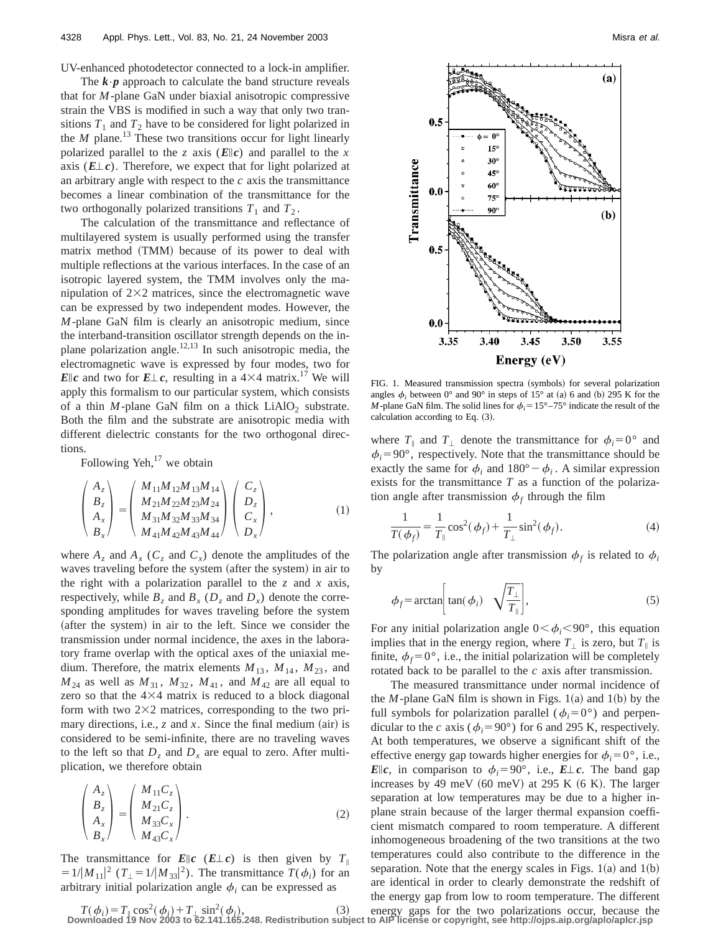UV-enhanced photodetector connected to a lock-in amplifier.

The  $\mathbf{k} \cdot \mathbf{p}$  approach to calculate the band structure reveals that for *M*-plane GaN under biaxial anisotropic compressive strain the VBS is modified in such a way that only two transitions  $T_1$  and  $T_2$  have to be considered for light polarized in the *M* plane.<sup>13</sup> These two transitions occur for light linearly polarized parallel to the *z* axis  $(E||c)$  and parallel to the *x* axis  $(E \perp c)$ . Therefore, we expect that for light polarized at an arbitrary angle with respect to the *c* axis the transmittance becomes a linear combination of the transmittance for the two orthogonally polarized transitions  $T_1$  and  $T_2$ .

The calculation of the transmittance and reflectance of multilayered system is usually performed using the transfer matrix method (TMM) because of its power to deal with multiple reflections at the various interfaces. In the case of an isotropic layered system, the TMM involves only the manipulation of  $2\times2$  matrices, since the electromagnetic wave can be expressed by two independent modes. However, the *M*-plane GaN film is clearly an anisotropic medium, since the interband-transition oscillator strength depends on the inplane polarization angle. $12,13$  In such anisotropic media, the electromagnetic wave is expressed by four modes, two for *E*||c and two for  $E \perp c$ , resulting in a 4×4 matrix.<sup>17</sup> We will apply this formalism to our particular system, which consists of a thin  $M$ -plane GaN film on a thick  $LiAlO<sub>2</sub>$  substrate. Both the film and the substrate are anisotropic media with different dielectric constants for the two orthogonal directions.

Following Yeh, $^{17}$  we obtain

$$
\begin{pmatrix} A_z \\ B_z \\ A_x \\ B_x \end{pmatrix} = \begin{pmatrix} M_{11}M_{12}M_{13}M_{14} \\ M_{21}M_{22}M_{23}M_{24} \\ M_{31}M_{32}M_{33}M_{34} \\ M_{41}M_{42}M_{43}M_{44} \end{pmatrix} \begin{pmatrix} C_z \\ D_z \\ C_x \\ D_x \end{pmatrix},
$$
(1)

where  $A_z$  and  $A_x$  ( $C_z$  and  $C_x$ ) denote the amplitudes of the waves traveling before the system (after the system) in air to the right with a polarization parallel to the  $z$  and  $x$  axis, respectively, while  $B_z$  and  $B_x$  ( $D_z$  and  $D_x$ ) denote the corresponding amplitudes for waves traveling before the system (after the system) in air to the left. Since we consider the transmission under normal incidence, the axes in the laboratory frame overlap with the optical axes of the uniaxial medium. Therefore, the matrix elements  $M_{13}$ ,  $M_{14}$ ,  $M_{23}$ , and  $M_{24}$  as well as  $M_{31}$ ,  $M_{32}$ ,  $M_{41}$ , and  $M_{42}$  are all equal to zero so that the  $4\times4$  matrix is reduced to a block diagonal form with two  $2\times2$  matrices, corresponding to the two primary directions, i.e.,  $z$  and  $x$ . Since the final medium (air) is considered to be semi-infinite, there are no traveling waves to the left so that  $D<sub>z</sub>$  and  $D<sub>x</sub>$  are equal to zero. After multiplication, we therefore obtain

$$
\begin{pmatrix} A_z \\ B_z \\ A_x \\ B_x \end{pmatrix} = \begin{pmatrix} M_{11}C_z \\ M_{21}C_z \\ M_{33}C_x \\ M_{43}C_x \end{pmatrix} .
$$
 (2)

The transmittance for  $E||c$  ( $E\perp c$ ) is then given by  $T_{\parallel}$  $=1/|M_{11}|^2$  ( $T_{\perp}=1/|M_{33}|^2$ ). The transmittance  $T(\phi_i)$  for an arbitrary initial polarization angle  $\phi_i$  can be expressed as



FIG. 1. Measured transmission spectra (symbols) for several polarization angles  $\phi_i$  between 0° and 90° in steps of 15° at (a) 6 and (b) 295 K for the *M*-plane GaN film. The solid lines for  $\phi_i = 15^\circ - 75^\circ$  indicate the result of the calculation according to Eq.  $(3)$ .

where  $T_{\parallel}$  and  $T_{\perp}$  denote the transmittance for  $\phi_i=0^{\circ}$  and  $\phi_i = 90^\circ$ , respectively. Note that the transmittance should be exactly the same for  $\phi_i$  and  $180^\circ - \phi_i$ . A similar expression exists for the transmittance *T* as a function of the polarization angle after transmission  $\phi_f$  through the film

$$
\frac{1}{T(\phi_f)} = \frac{1}{T_{\parallel}} \cos^2(\phi_f) + \frac{1}{T_{\perp}} \sin^2(\phi_f).
$$
 (4)

The polarization angle after transmission  $\phi_f$  is related to  $\phi_i$ by

$$
\phi_f = \arctan\left[\tan(\phi_i) \quad \sqrt{\frac{T_\perp}{T_\parallel}}\right],\tag{5}
$$

For any initial polarization angle  $0<\phi_i<90^\circ$ , this equation implies that in the energy region, where  $T_{\perp}$  is zero, but  $T_{\parallel}$  is finite,  $\phi_f = 0^\circ$ , i.e., the initial polarization will be completely rotated back to be parallel to the *c* axis after transmission.

The measured transmittance under normal incidence of the *M*-plane GaN film is shown in Figs.  $1(a)$  and  $1(b)$  by the full symbols for polarization parallel ( $\phi_i=0^\circ$ ) and perpendicular to the *c* axis ( $\phi_i = 90^\circ$ ) for 6 and 295 K, respectively. At both temperatures, we observe a significant shift of the effective energy gap towards higher energies for  $\phi_i = 0^\circ$ , i.e., *E*<sup> $|c$ </sup>, in comparison to  $\phi_i = 90^\circ$ , i.e., *E*<sup> $\perp$ </sup>*c*. The band gap increases by 49 meV  $(60 \text{ meV})$  at 295 K  $(6 \text{ K})$ . The larger separation at low temperatures may be due to a higher inplane strain because of the larger thermal expansion coefficient mismatch compared to room temperature. A different inhomogeneous broadening of the two transitions at the two temperatures could also contribute to the difference in the separation. Note that the energy scales in Figs.  $1(a)$  and  $1(b)$ are identical in order to clearly demonstrate the redshift of the energy gap from low to room temperature. The different

 $T(\phi_i) = T_{\parallel} \cos^2(\phi_i) + T_{\perp} \sin^2(\phi_i)$ , (3) energy gaps for the two polarizations occur, because the Downloaded 19 Nov 2003 to 62.141.165.248. Redistribution subject to AIP license or copyright, see http://ojps.aip.org/aplo